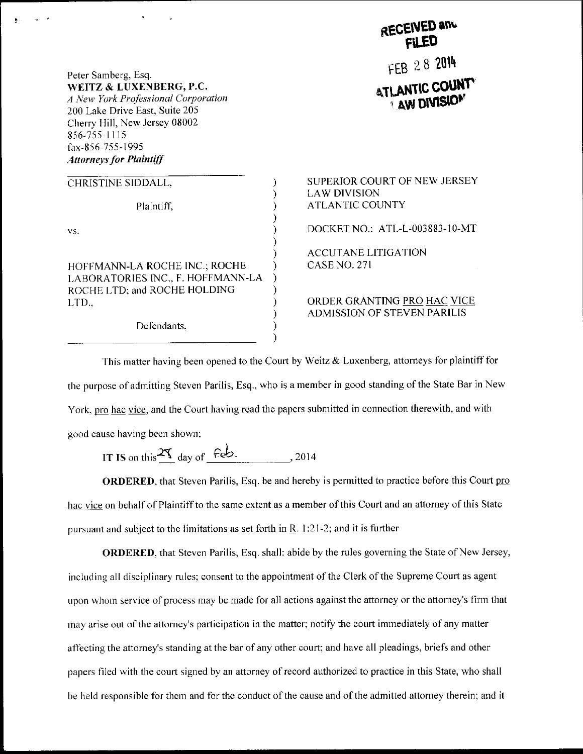Peter Samberg, Esq. WEITZ & LUXENBERG, P.C. A New York Professional Corporation 200 Lake Drive East, Suite 205 Cherry Hill, New Jersey 08002 856-755-1115 fax-856-755-1995 **Attorneys for Plaintiff** 

| CHRISTINE SIDDALL,                |  |
|-----------------------------------|--|
|                                   |  |
| Plaintiff.                        |  |
|                                   |  |
| VS.                               |  |
|                                   |  |
|                                   |  |
| HOFFMANN-LA ROCHE INC.; ROCHE     |  |
| LABORATORIES INC., F. HOFFMANN-LA |  |
| ROCHE LTD; and ROCHE HOLDING      |  |
| LTD.,                             |  |
|                                   |  |
| Defendants                        |  |

Defendants,

## **ENED any** FEB 28 2014 **ATLANTIC COUNT AW DIVISION**

SUPERIOR COURT OF NEW JERSEY **LAW DIVISION ATLANTIC COUNTY** 

DOCKET NO.: ATL-L-003883-10-MT

**ACCUTANE LITIGATION CASE NO. 271** 

ORDER GRANTING PRO HAC VICE **ADMISSION OF STEVEN PARILIS** 

This matter having been opened to the Court by Weitz & Luxenberg, attorneys for plaintiff for the purpose of admitting Steven Parilis, Esq., who is a member in good standing of the State Bar in New York, pro hac vice, and the Court having read the papers submitted in connection therewith, and with good cause having been shown;

IT IS on this  $\frac{25}{1}$  day of  $f$ eb. , 2014

ORDERED, that Steven Parilis, Esq. be and hereby is permitted to practice before this Court pro hac vice on behalf of Plaintiff to the same extent as a member of this Court and an attorney of this State pursuant and subject to the limitations as set forth in R. 1:21-2; and it is further

**ORDERED**, that Steven Parilis, Esq. shall: abide by the rules governing the State of New Jersey, including all disciplinary rules; consent to the appointment of the Clerk of the Supreme Court as agent upon whom service of process may be made for all actions against the attorney or the attorney's firm that may arise out of the attorney's participation in the matter; notify the court immediately of any matter affecting the attorney's standing at the bar of any other court; and have all pleadings, briefs and other papers filed with the court signed by an attorney of record authorized to practice in this State, who shall be held responsible for them and for the conduct of the cause and of the admitted attorney therein; and it